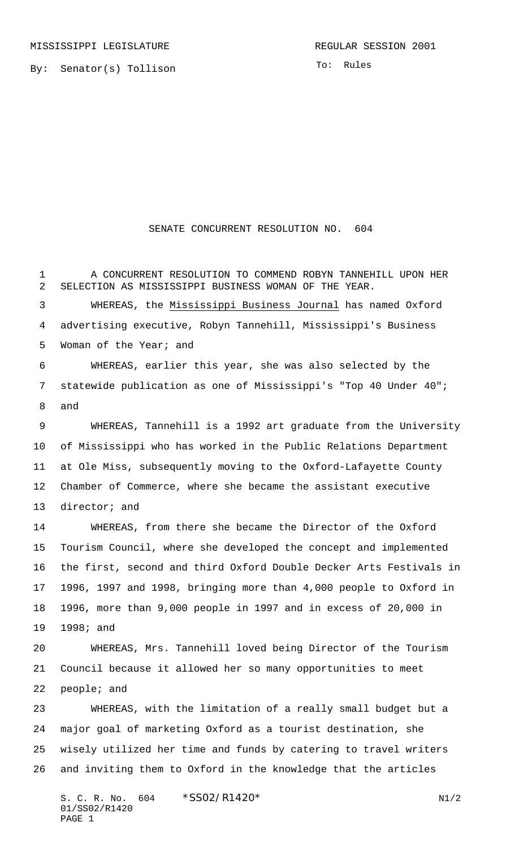By: Senator(s) Tollison

## SENATE CONCURRENT RESOLUTION NO. 604

 A CONCURRENT RESOLUTION TO COMMEND ROBYN TANNEHILL UPON HER SELECTION AS MISSISSIPPI BUSINESS WOMAN OF THE YEAR. WHEREAS, the Mississippi Business Journal has named Oxford advertising executive, Robyn Tannehill, Mississippi's Business

Woman of the Year; and

 WHEREAS, earlier this year, she was also selected by the statewide publication as one of Mississippi's "Top 40 Under 40"; and

 WHEREAS, Tannehill is a 1992 art graduate from the University of Mississippi who has worked in the Public Relations Department at Ole Miss, subsequently moving to the Oxford-Lafayette County Chamber of Commerce, where she became the assistant executive director; and

 WHEREAS, from there she became the Director of the Oxford Tourism Council, where she developed the concept and implemented the first, second and third Oxford Double Decker Arts Festivals in 1996, 1997 and 1998, bringing more than 4,000 people to Oxford in 1996, more than 9,000 people in 1997 and in excess of 20,000 in 1998; and

 WHEREAS, Mrs. Tannehill loved being Director of the Tourism Council because it allowed her so many opportunities to meet people; and

 WHEREAS, with the limitation of a really small budget but a major goal of marketing Oxford as a tourist destination, she wisely utilized her time and funds by catering to travel writers and inviting them to Oxford in the knowledge that the articles

S. C. R. No.  $604 \times SS02/R1420*$  N1/2 01/SS02/R1420 PAGE 1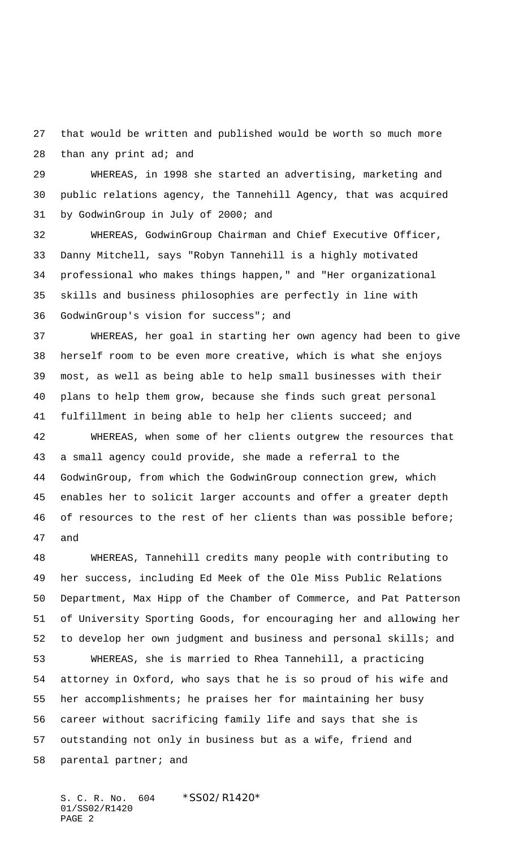that would be written and published would be worth so much more 28 than any print ad; and

 WHEREAS, in 1998 she started an advertising, marketing and public relations agency, the Tannehill Agency, that was acquired by GodwinGroup in July of 2000; and

 WHEREAS, GodwinGroup Chairman and Chief Executive Officer, Danny Mitchell, says "Robyn Tannehill is a highly motivated professional who makes things happen," and "Her organizational skills and business philosophies are perfectly in line with GodwinGroup's vision for success"; and

 WHEREAS, her goal in starting her own agency had been to give herself room to be even more creative, which is what she enjoys most, as well as being able to help small businesses with their plans to help them grow, because she finds such great personal fulfillment in being able to help her clients succeed; and

 WHEREAS, when some of her clients outgrew the resources that a small agency could provide, she made a referral to the GodwinGroup, from which the GodwinGroup connection grew, which enables her to solicit larger accounts and offer a greater depth 46 of resources to the rest of her clients than was possible before; and

 WHEREAS, Tannehill credits many people with contributing to her success, including Ed Meek of the Ole Miss Public Relations Department, Max Hipp of the Chamber of Commerce, and Pat Patterson of University Sporting Goods, for encouraging her and allowing her to develop her own judgment and business and personal skills; and WHEREAS, she is married to Rhea Tannehill, a practicing attorney in Oxford, who says that he is so proud of his wife and her accomplishments; he praises her for maintaining her busy career without sacrificing family life and says that she is outstanding not only in business but as a wife, friend and parental partner; and

S. C. R. No. 604 \*SS02/R1420\* 01/SS02/R1420 PAGE 2